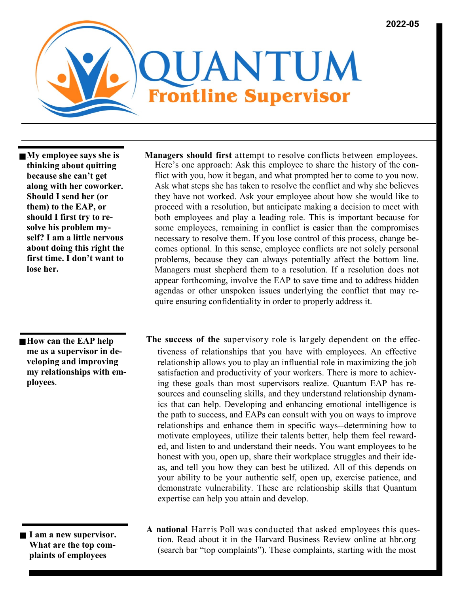

**My employee says she is thinking about quitting because she can't get along with her coworker. Should I send her (or them) to the EAP, or should I first try to resolve his problem myself? I am a little nervous about doing this right the first time. I don't want to lose her.** 

 **How can the EAP help me as a supervisor in developing and improving my relationships with employees**.

 **I am a new supervisor. What are the top complaints of employees** 

- **Managers should first** attempt to resolve conflicts between employees. Here's one approach: Ask this employee to share the history of the conflict with you, how it began, and what prompted her to come to you now. Ask what steps she has taken to resolve the conflict and why she believes they have not worked. Ask your employee about how she would like to proceed with a resolution, but anticipate making a decision to meet with both employees and play a leading role. This is important because for some employees, remaining in conflict is easier than the compromises necessary to resolve them. If you lose control of this process, change becomes optional. In this sense, employee conflicts are not solely personal problems, because they can always potentially affect the bottom line. Managers must shepherd them to a resolution. If a resolution does not appear forthcoming, involve the EAP to save time and to address hidden agendas or other unspoken issues underlying the conflict that may require ensuring confidentiality in order to properly address it.
- tiveness of relationships that you have with employees. An effective relationship allows you to play an influential role in maximizing the job satisfaction and productivity of your workers. There is more to achieving these goals than most supervisors realize. Quantum EAP has resources and counseling skills, and they understand relationship dynamics that can help. Developing and enhancing emotional intelligence is the path to success, and EAPs can consult with you on ways to improve relationships and enhance them in specific ways--determining how to motivate employees, utilize their talents better, help them feel rewarded, and listen to and understand their needs. You want employees to be honest with you, open up, share their workplace struggles and their ideas, and tell you how they can best be utilized. All of this depends on your ability to be your authentic self, open up, exercise patience, and demonstrate vulnerability. These are relationship skills that Quantum expertise can help you attain and develop. **The success of the** supervisory role is largely dependent on the effec-
- **A national** Harris Poll was conducted that asked employees this question. Read about it in the Harvard Business Review online at hbr.org (search bar "top complaints"). These complaints, starting with the most